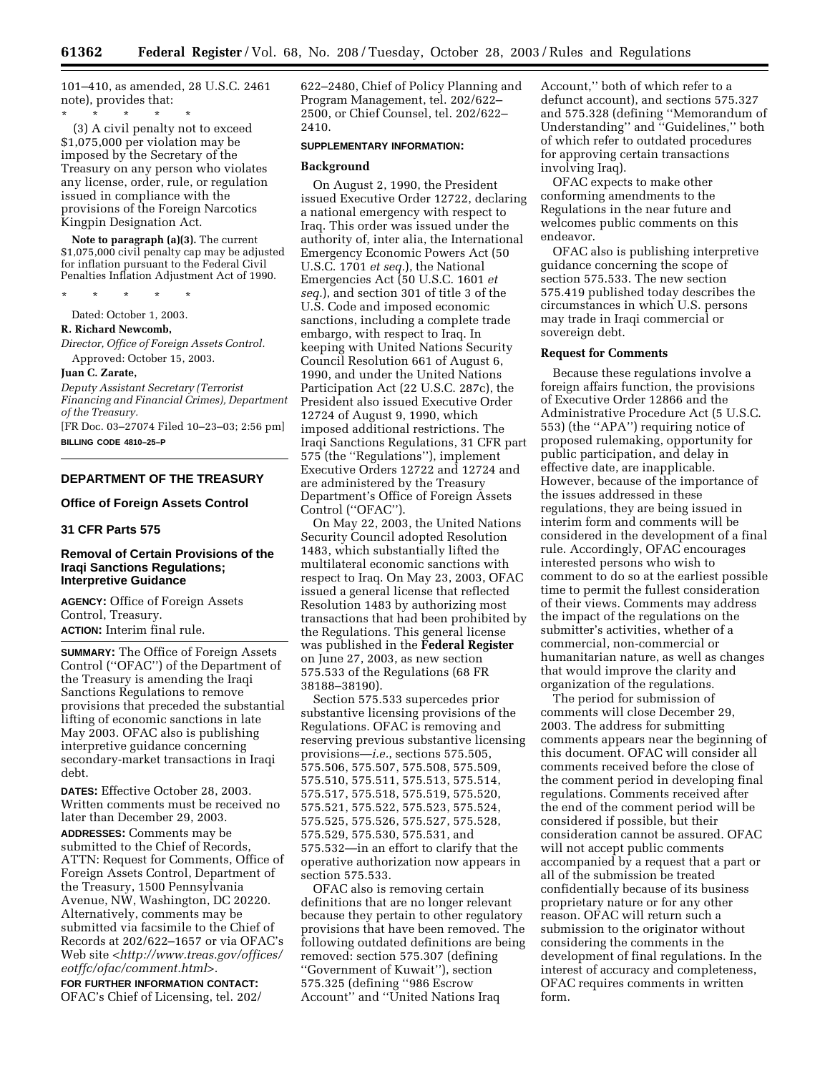101–410, as amended, 28 U.S.C. 2461 note), provides that:

\* \* \* \* \* (3) A civil penalty not to exceed \$1,075,000 per violation may be imposed by the Secretary of the Treasury on any person who violates any license, order, rule, or regulation issued in compliance with the provisions of the Foreign Narcotics Kingpin Designation Act.

**Note to paragraph (a)(3).** The current \$1,075,000 civil penalty cap may be adjusted for inflation pursuant to the Federal Civil Penalties Inflation Adjustment Act of 1990.

\* \* \* \* \*

Dated: October 1, 2003.

#### **R. Richard Newcomb,**

*Director, Office of Foreign Assets Control.*  Approved: October 15, 2003.

### **Juan C. Zarate,**

*Deputy Assistant Secretary (Terrorist Financing and Financial Crimes), Department of the Treasury.*

[FR Doc. 03–27074 Filed 10–23–03; 2:56 pm] **BILLING CODE 4810–25–P**

## **DEPARTMENT OF THE TREASURY**

### **Office of Foreign Assets Control**

## **31 CFR Parts 575**

## **Removal of Certain Provisions of the Iraqi Sanctions Regulations; Interpretive Guidance**

**AGENCY:** Office of Foreign Assets Control, Treasury. **ACTION:** Interim final rule.

**SUMMARY:** The Office of Foreign Assets Control (''OFAC'') of the Department of the Treasury is amending the Iraqi Sanctions Regulations to remove provisions that preceded the substantial lifting of economic sanctions in late May 2003. OFAC also is publishing interpretive guidance concerning secondary-market transactions in Iraqi debt.

**DATES:** Effective October 28, 2003. Written comments must be received no later than December 29, 2003. **ADDRESSES:** Comments may be submitted to the Chief of Records, ATTN: Request for Comments, Office of Foreign Assets Control, Department of the Treasury, 1500 Pennsylvania Avenue, NW, Washington, DC 20220. Alternatively, comments may be submitted via facsimile to the Chief of Records at 202/622–1657 or via OFAC's Web site *[<http://www.treas.gov/offices/](http://www.treas.gov/offices/eotffc/ofac/comment.html) eotffc/ofac/comment.html>*.

**FOR FURTHER INFORMATION CONTACT:** OFAC's Chief of Licensing, tel. 202/ 622–2480, Chief of Policy Planning and Program Management, tel. 202/622– 2500, or Chief Counsel, tel. 202/622– 2410.

### **SUPPLEMENTARY INFORMATION:**

#### **Background**

On August 2, 1990, the President issued Executive Order 12722, declaring a national emergency with respect to Iraq. This order was issued under the authority of, inter alia, the International Emergency Economic Powers Act (50 U.S.C. 1701 *et seq.*), the National Emergencies Act (50 U.S.C. 1601 *et seq.*), and section 301 of title 3 of the U.S. Code and imposed economic sanctions, including a complete trade embargo, with respect to Iraq. In keeping with United Nations Security Council Resolution 661 of August 6, 1990, and under the United Nations Participation Act (22 U.S.C. 287c), the President also issued Executive Order 12724 of August 9, 1990, which imposed additional restrictions. The Iraqi Sanctions Regulations, 31 CFR part 575 (the ''Regulations''), implement Executive Orders 12722 and 12724 and are administered by the Treasury Department's Office of Foreign Assets Control (''OFAC'').

On May 22, 2003, the United Nations Security Council adopted Resolution 1483, which substantially lifted the multilateral economic sanctions with respect to Iraq. On May 23, 2003, OFAC issued a general license that reflected Resolution 1483 by authorizing most transactions that had been prohibited by the Regulations. This general license was published in the **Federal Register** on June 27, 2003, as new section 575.533 of the Regulations (68 FR 38188–38190).

Section 575.533 supercedes prior substantive licensing provisions of the Regulations. OFAC is removing and reserving previous substantive licensing provisions—*i.e.*, sections 575.505, 575.506, 575.507, 575.508, 575.509, 575.510, 575.511, 575.513, 575.514, 575.517, 575.518, 575.519, 575.520, 575.521, 575.522, 575.523, 575.524, 575.525, 575.526, 575.527, 575.528, 575.529, 575.530, 575.531, and 575.532—in an effort to clarify that the operative authorization now appears in section 575.533.

OFAC also is removing certain definitions that are no longer relevant because they pertain to other regulatory provisions that have been removed. The following outdated definitions are being removed: section 575.307 (defining ''Government of Kuwait''), section 575.325 (defining ''986 Escrow Account'' and ''United Nations Iraq

Account,'' both of which refer to a defunct account), and sections 575.327 and 575.328 (defining ''Memorandum of Understanding'' and ''Guidelines,'' both of which refer to outdated procedures for approving certain transactions involving Iraq).

OFAC expects to make other conforming amendments to the Regulations in the near future and welcomes public comments on this endeavor.

OFAC also is publishing interpretive guidance concerning the scope of section 575.533. The new section 575.419 published today describes the circumstances in which U.S. persons may trade in Iraqi commercial or sovereign debt.

#### **Request for Comments**

Because these regulations involve a foreign affairs function, the provisions of Executive Order 12866 and the Administrative Procedure Act (5 U.S.C. 553) (the ''APA'') requiring notice of proposed rulemaking, opportunity for public participation, and delay in effective date, are inapplicable. However, because of the importance of the issues addressed in these regulations, they are being issued in interim form and comments will be considered in the development of a final rule. Accordingly, OFAC encourages interested persons who wish to comment to do so at the earliest possible time to permit the fullest consideration of their views. Comments may address the impact of the regulations on the submitter's activities, whether of a commercial, non-commercial or humanitarian nature, as well as changes that would improve the clarity and organization of the regulations.

The period for submission of comments will close December 29, 2003. The address for submitting comments appears near the beginning of this document. OFAC will consider all comments received before the close of the comment period in developing final regulations. Comments received after the end of the comment period will be considered if possible, but their consideration cannot be assured. OFAC will not accept public comments accompanied by a request that a part or all of the submission be treated confidentially because of its business proprietary nature or for any other reason. OFAC will return such a submission to the originator without considering the comments in the development of final regulations. In the interest of accuracy and completeness, OFAC requires comments in written form.